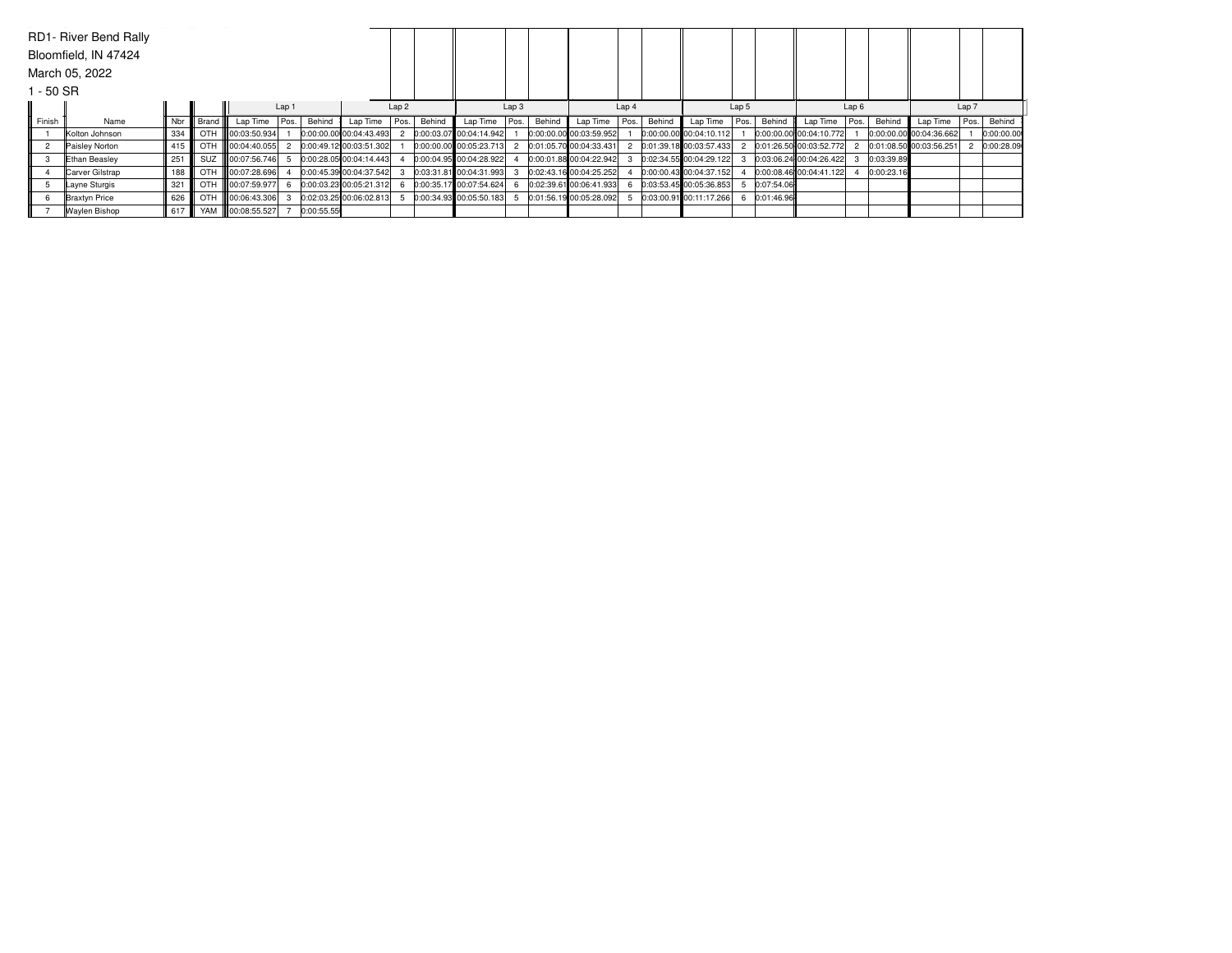|                      | RD1- River Bend Rally |     |           |                   |       |            |                         |                  |        |                         |      |                  |                         |       |        |                         |      |            |                         |       |            |                         |      |            |
|----------------------|-----------------------|-----|-----------|-------------------|-------|------------|-------------------------|------------------|--------|-------------------------|------|------------------|-------------------------|-------|--------|-------------------------|------|------------|-------------------------|-------|------------|-------------------------|------|------------|
| Bloomfield, IN 47424 |                       |     |           |                   |       |            |                         |                  |        |                         |      |                  |                         |       |        |                         |      |            |                         |       |            |                         |      |            |
| March 05, 2022       |                       |     |           |                   |       |            |                         |                  |        |                         |      |                  |                         |       |        |                         |      |            |                         |       |            |                         |      |            |
| 1 - 50 SR            |                       |     |           |                   |       |            |                         |                  |        |                         |      |                  |                         |       |        |                         |      |            |                         |       |            |                         |      |            |
|                      |                       |     |           |                   | Lap 1 |            |                         | Lap <sub>2</sub> |        | Lap <sub>3</sub>        |      | Lap <sub>4</sub> |                         | Lap 5 |        |                         | Lap6 |            |                         | Lap 7 |            |                         |      |            |
| Finish               | Name                  | Nbr | Brand III | Lap Time          | Pos.  | Behind     | Lap Time                | Pos.             | Behind | Lap Time                | Pos. | Behind           | Lap Time                | Pos.  | Behind | Lap Time                | Pos. | Behind     | Lap Time                | Pos.  | Behind     | Lap Time                | Pos. | Behind     |
|                      | Kolton Johnson        | 334 | OTH       | $\ $ 00:03:50.934 |       |            | 0:00:00.00 00:04:43.493 |                  |        | 0:00:03.07 00:04:14.942 |      |                  | 0:00:00.00 00:03:59.952 |       |        | 0.00.00000000004:10.112 |      |            | 0:00:00.00 00:04:10.772 |       |            | 0:00:00.00 00:04:36.662 |      | 0:00:00.00 |
|                      | Paisley Norton        | 415 |           | OTH 100:04:40.055 |       |            | 0:00:49.12 00:03:51.302 |                  |        | 0:00:00.00 00:05:23.713 |      |                  | 0:01:05.70 00:04:33.431 |       |        | 0:01:39.18 00:03:57.433 |      |            | 0:01:26.50 00:03:52.772 |       |            | 0:01:08.50 00:03:56.251 |      | 0:00:28.09 |
|                      | <b>Ethan Beasley</b>  | 251 |           | SUZ 100:07:56.746 |       |            | 0:00:28.05 00:04:14.443 |                  |        | 0:00:04.95 00:04:28.922 |      |                  | 0:00:01.88 00:04:22.942 |       |        | 0:02:34.55 00:04:29.122 |      |            | 0:03:06.24 00:04:26.422 |       | 0:03:39.89 |                         |      |            |
|                      | Carver Gilstrap       | 188 |           | OTH 100:07:28.696 |       |            | 0:00:45.39 00:04:37.542 |                  |        | 0:03:31.81 00:04:31.993 |      |                  | 0:02:43.16 00:04:25.252 |       |        | 0:00:00.43 00:04:37.152 |      |            | 0:00:08.46 00:04:41.122 |       | 0:00:23.16 |                         |      |            |
|                      | Layne Sturgis         | 321 |           | OTH 100:07:59.977 |       |            | 0:00:03.23 00:05:21.312 |                  |        | 0:00:35.17 00:07:54.624 |      |                  | 0:02:39.61 00:06:41.933 |       |        | 0:03:53.45 00:05:36.853 |      | 0:07:54.06 |                         |       |            |                         |      |            |
|                      | <b>Braxtyn Price</b>  | 626 |           | OTH 00:06:43.306  |       |            | 0:02:03.25 00:06:02.813 |                  |        | 0:00:34.93 00:05:50.183 |      |                  | 0:01:56.19 00:05:28.092 |       |        | 0:03:00.91 00:11:17.266 |      | 0:01:46.96 |                         |       |            |                         |      |            |
|                      | <b>Waylen Bishop</b>  | 617 |           | YAM 00:08:55.527  |       | 0:00:55.55 |                         |                  |        |                         |      |                  |                         |       |        |                         |      |            |                         |       |            |                         |      |            |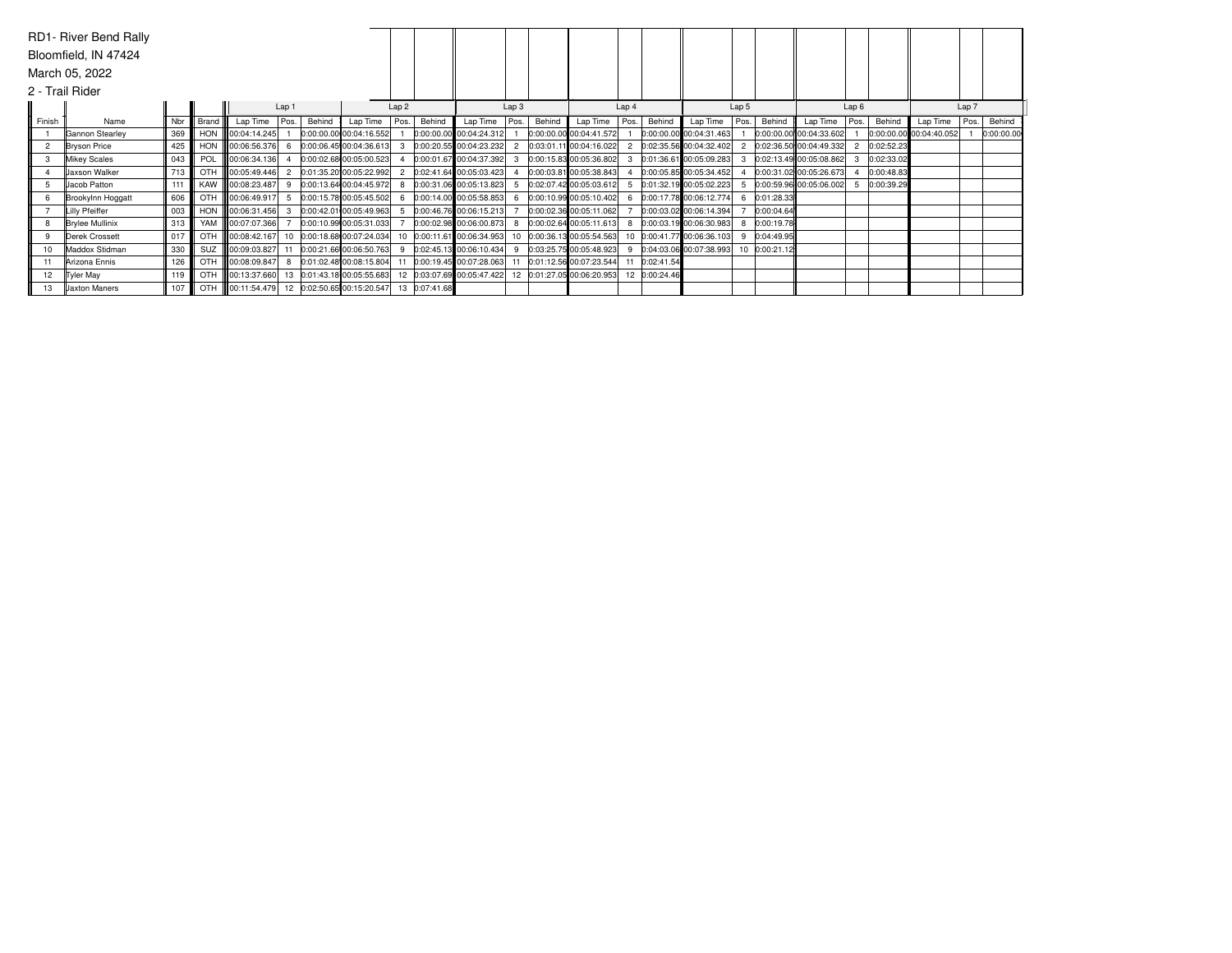|                      | RD1- River Bend Rally  |     |       |                    |      |        |                            |              |                  |                            |      |        |                                                       |      |               |                            |      |            |                           |      |            |                         |      |            |
|----------------------|------------------------|-----|-------|--------------------|------|--------|----------------------------|--------------|------------------|----------------------------|------|--------|-------------------------------------------------------|------|---------------|----------------------------|------|------------|---------------------------|------|------------|-------------------------|------|------------|
| Bloomfield, IN 47424 |                        |     |       |                    |      |        |                            |              |                  |                            |      |        |                                                       |      |               |                            |      |            |                           |      |            |                         |      |            |
| March 05, 2022       |                        |     |       |                    |      |        |                            |              |                  |                            |      |        |                                                       |      |               |                            |      |            |                           |      |            |                         |      |            |
|                      | 2 - Trail Rider        |     |       |                    |      |        |                            |              |                  |                            |      |        |                                                       |      |               |                            |      |            |                           |      |            |                         |      |            |
|                      | Lap 1                  |     |       |                    |      |        | Lap <sub>2</sub>           |              | Lap <sub>3</sub> |                            |      | Lap 4  |                                                       |      | Lap 5         |                            |      | Lap6       |                           |      | Lap 7      |                         |      |            |
| Finish               | Name                   | Nbr | Brand | Lap Time           | Pos. | Behind | Lap Time                   | Pos. I       | Behind           | Lap Time                   | Pos. | Behind | Lap Time                                              | Pos. | Behind        | Lap Time                   | Pos. | Behind     | Lap Time                  | Pos. | Behind     | Lap Time                | Pos. | Behind     |
|                      | Gannon Stearley        | 369 |       | HON 100:04:14.245  |      |        | 0:00:00.00 00:04:16.552    |              |                  | 0:00:00.00 00:04:24.312    |      |        | 0:00:00.00 00:04:41.572                               |      |               | 0:00:00.00 00:04:31.463    |      |            | $0:00:00.00$ 00:04:33.602 |      |            | 0:00:00.00 00:04:40.052 |      | 0:00:00.00 |
| $\mathbf{2}$         | <b>Bryson Price</b>    | 425 |       | HON 100:06:56.376  |      |        | 0:00:06.45 00:04:36.613    |              |                  | $0:00:20.55$ 00:04:23.232  |      |        | 0:03:01.11.00:04:16.022                               |      |               | 0:02:35.56 00:04:32.402    |      |            | 0:02:36.50 00:04:49.332   |      | 0:02:52.23 |                         |      |            |
|                      | <b>Mikey Scales</b>    | 043 | POL   | 00:06:34.136       |      |        | 0:00:02.68 00:05:00.523    |              |                  | 0:00:01.67 00:04:37.392    |      |        | 0:00:15.83 00:05:36.802                               | 3    |               | 0:01:36.61 00:05:09.283    |      |            | 0:02:13.49 00:05:08.862   | 3    | 0:02:33.02 |                         |      |            |
|                      | <b>Jaxson Walker</b>   | 713 | OTH   | 00:05:49.446       |      |        | 0:01:35.20 00:05:22.992    |              |                  | 0:02:41.64 00:05:03.423    |      |        | 0:00:03.81 00:05:38.843                               |      |               | 0:00:05.85 00:05:34.452    |      |            | 0:00:31.02 00:05:26.673   |      | 0:00:48.83 |                         |      |            |
|                      | Uacob Patton           | 111 |       | KAW   00:08:23.487 |      |        | 0:00:13.64 00:04:45.972    |              |                  | 0:00:31.06 00:05:13.823    |      |        | 0:02:07.42 00:05:03.612                               | 5    |               | 0:01:32.19 00:05:02.223    |      |            | $0:00:59.96$ 00:05:06.002 |      | 0:00:39.29 |                         |      |            |
|                      | Brookylnn Hoggatt      | 606 |       | OTH 00:06:49.917   |      |        | 0:00:15.78 00:05:45.502    |              |                  | 0:00:14.00 00:05:58.853    |      |        | 0:00:10.99 00:05:10.402                               | 6    |               | 0:00:17.78 00:06:12.774    |      | 0:01:28.33 |                           |      |            |                         |      |            |
|                      | Lilly Pfeiffer         | 003 |       | HON 100:06:31.456  | 3    |        | 0:00:42.01 00:05:49.963    |              |                  | 5 0:00:46.76 00:06:15.213  |      |        | 0:00:02.36 00:05:11.062                               |      |               | $0:00:03.02$ 00:06:14.394  |      | 0:00:04.64 |                           |      |            |                         |      |            |
|                      | <b>Brylee Mullinix</b> | 313 |       | YAM   00:07:07.366 |      |        | 0:00:10.99 00:05:31.033    |              |                  | 0:00:02.98 00:06:00.873    | 8    |        | 0:00:02.64 00:05:11.613                               | 8    |               | 0:00:03.19 00:06:30.983    |      | 0:00:19.78 |                           |      |            |                         |      |            |
|                      | Derek Crossett         | 017 | OTH   | 00:08:42.167       | 10   |        | 0:00:18.68 00:07:24.034    |              |                  | 10 0:00:11.61 00:06:34.953 |      |        | 10 0:00:36.13 00:05:54.563                            |      |               | 10 0:00:41.77 00:06:36.103 |      | 0:04:49.95 |                           |      |            |                         |      |            |
| 10                   | Maddox Stidman         | 330 |       | SUZ 00:09:03.827   |      |        | 0:00:21.66 00:06:50.763    | $\mathbf{q}$ |                  | 0:02:45.13 00:06:10.434    |      |        | 9 0:03:25.75 00:05:48.923                             | 9    |               | 0:04:03.06 00:07:38.993    | 10   | 0:00:21.12 |                           |      |            |                         |      |            |
|                      | Arizona Ennis          | 126 |       | OTH 00:08:09.847   |      |        | 0:01:02.48 00:08:15.804    |              |                  | 0:00:19.45 00:07:28.063    |      |        | 11 0:01:12.56 00:07:23.544                            | 11   | 0:02:41.54    |                            |      |            |                           |      |            |                         |      |            |
| 12.                  | <b>Tyler May</b>       | 119 |       | OTH 00:13:37.660   | 13   |        | 0:01:43.18 00:05:55.683    |              |                  |                            |      |        | 12 0:03:07.69 00:05:47.422 12 0:01:27.05 00:06:20.953 |      | 12 0:00:24.46 |                            |      |            |                           |      |            |                         |      |            |
| 13                   | <b>Jaxton Maners</b>   | 107 |       | OTH 00:11:54.479   |      |        | 12 0:02:50.65 00:15:20.547 |              | 13 0:07:41.68    |                            |      |        |                                                       |      |               |                            |      |            |                           |      |            |                         |      |            |